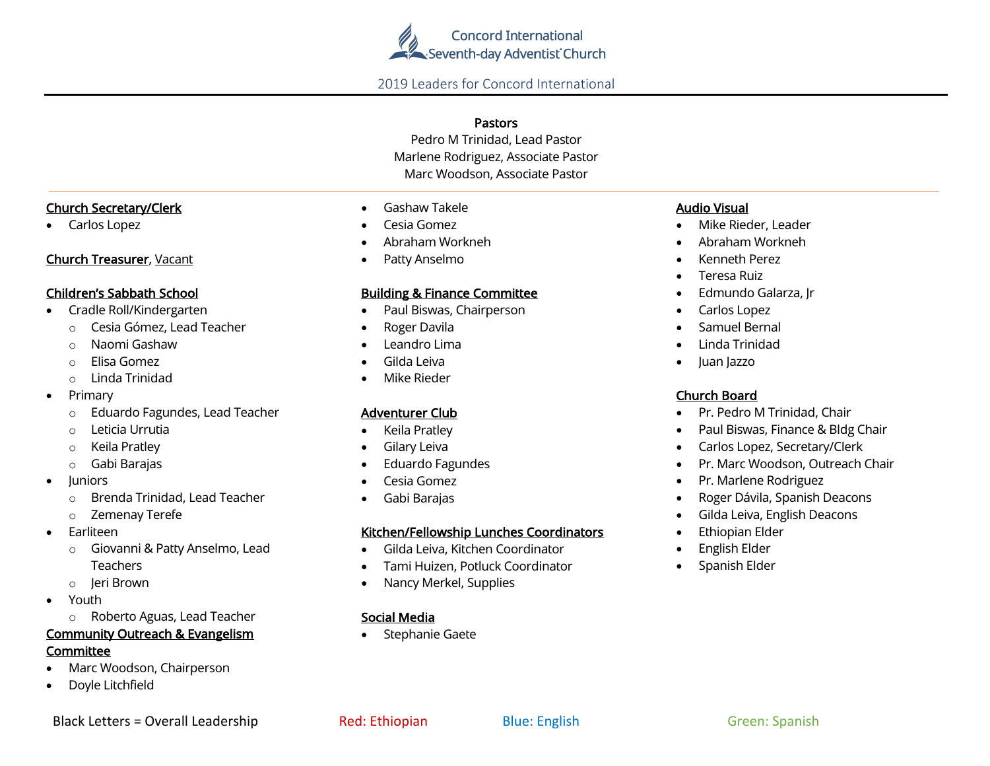

### 2019 Leaders for Concord International

### Pastors

Pedro M Trinidad, Lead Pastor Marlene Rodriguez, Associate Pastor Marc Woodson, Associate Pastor

 $\overline{a}$ 

### Church Secretary/Clerk

• Carlos Lopez

### Church Treasurer, Vacant

### Children's Sabbath School

- Cradle Roll/Kindergarten
	- o Cesia Gómez, Lead Teacher
	- o Naomi Gashaw
	- o Elisa Gomez
	- o Linda Trinidad
- Primary
	- o Eduardo Fagundes, Lead Teacher
	- o Leticia Urrutia
	- o Keila Pratley
	- o Gabi Barajas
- Juniors
	- o Brenda Trinidad, Lead Teacher
	- o Zemenay Terefe
- **Earliteen** 
	- o Giovanni & Patty Anselmo, Lead **Teachers**
	- o Jeri Brown
- Youth
	- o Roberto Aguas, Lead Teacher

# Community Outreach & Evangelism

### Committee

- Marc Woodson, Chairperson
- Doyle Litchfield

| Gashaw Takele |
|---------------|

- Cesia Gomez
- Abraham Workneh
- Patty Anselmo

### Building & Finance Committee

- Paul Biswas, Chairperson
- Roger Davila
- Leandro Lima
- Gilda Leiva
- Mike Rieder

### Adventurer Club

- Keila Pratley
- Gilary Leiva
- Eduardo Fagundes
- Cesia Gomez
- Gabi Barajas

### Kitchen/Fellowship Lunches Coordinators

- Gilda Leiva, Kitchen Coordinator
- Tami Huizen, Potluck Coordinator
- Nancy Merkel, Supplies

### Social Media

• Stephanie Gaete

### Audio Visual

- Mike Rieder, Leader
- Abraham Workneh
- Kenneth Perez
- Teresa Ruiz
- Edmundo Galarza, Jr
- Carlos Lopez
- Samuel Bernal
- Linda Trinidad
- Juan Jazzo

# Church Board

- Pr. Pedro M Trinidad, Chair
- Paul Biswas, Finance & Bldg Chair
- Carlos Lopez, Secretary/Clerk
- Pr. Marc Woodson, Outreach Chair
- Pr. Marlene Rodriguez
- Roger Dávila, Spanish Deacons
- Gilda Leiva, English Deacons
- Ethiopian Elder
- English Elder
- Spanish Elder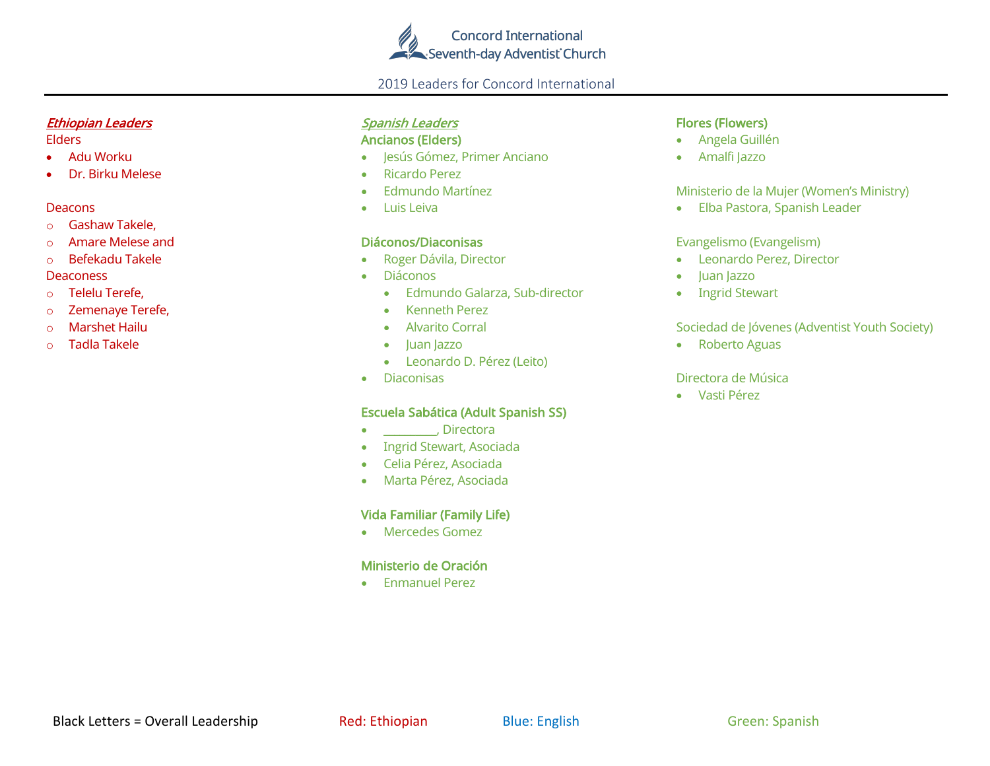

### 2019 Leaders for Concord International

### Ethiopian Leaders

#### Elders

- Adu Worku
- Dr. Birku Melese

### Deacons

- o Gashaw Takele,
- o Amare Melese and
- o Befekadu Takele

### **Deaconess**

- o Telelu Terefe,
- o Zemenaye Terefe,
- o Marshet Hailu
- o Tadla Takele

# Spanish Leaders

# Ancianos (Elders)

- Jesús Gómez, Primer Anciano
- Ricardo Perez
- Edmundo Martínez
- Luis Leiva

## Diáconos/Diaconisas

- Roger Dávila, Director
- Diáconos
	- Edmundo Galarza, Sub-director
	- Kenneth Perez
	- Alvarito Corral
	- Juan Jazzo
	- Leonardo D. Pérez (Leito)
- Diaconisas

# Escuela Sabática (Adult Spanish SS)

- \_\_\_\_\_\_\_\_\_\_, Directora
- Ingrid Stewart, Asociada
- Celia Pérez, Asociada
- Marta Pérez, Asociada

# Vida Familiar (Family Life)

• Mercedes Gomez

# Ministerio de Oración

• Enmanuel Perez

# Flores (Flowers)

- Angela Guillén
- Amalfi Jazzo

### Ministerio de la Mujer (Women's Ministry)

• Elba Pastora, Spanish Leader

## Evangelismo (Evangelism)

- Leonardo Perez, Director
- luan lazzo
- Ingrid Stewart

# Sociedad de Jóvenes (Adventist Youth Society)

• Roberto Aguas

### Directora de Música

• Vasti Pérez